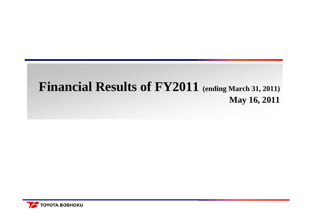## **Financial Results of FY2011 (ending March 31, 2011) May 16, 2011**

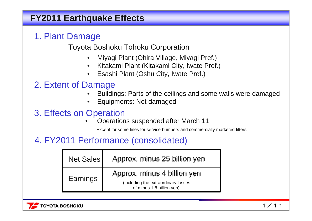## **FY2011 Earthquake Effects**

## 1. Plant Damage

Toyota Boshoku Tohoku Corporation

- •Miyagi Plant (Ohira Village, Miyagi Pref.)
- $\bullet$ Kitakami Plant (Kitakami City, Iwate Pref.)
- •Esashi Plant (Oshu City, Iwate Pref.)

## 2. Extent of Damage

- •Buildings: Parts of the ceilings and some walls were damaged
- •Equipments: Not damaged

## 3. Effects on Operation

•Operations suspended after March 11

Except for some lines for service bumpers and commercially marketed filters

## 4. FY2011 Performance (consolidated)

| <b>Net Sales</b> | Approx. minus 25 billion yen                                                                    |
|------------------|-------------------------------------------------------------------------------------------------|
| Earnings         | Approx. minus 4 billion yen<br>(including the extraordinary losses<br>of minus 1.8 billion yen) |

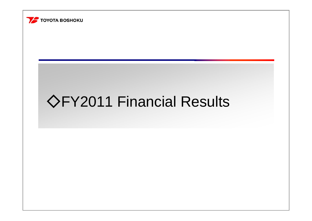

# ◇FY2011 Financial Results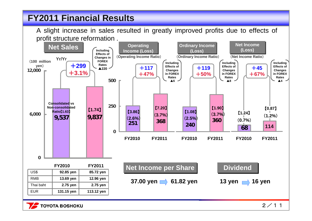## **FY2011 Financial Results FY2011 Financial Results**

A slight increase in sales resulted in greatly improved profits due to effects of profit structure reformation .



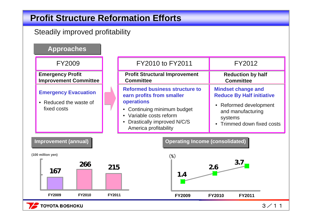## **Profit Structure Reformation Efforts Profit Structure Reformation Efforts**

#### Steadily improved profitability

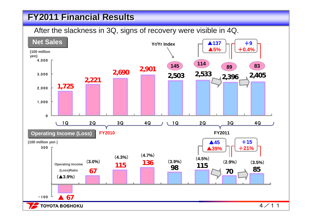## **FY2011 Financial Results FY2011 Financial Results**

After the slackness in 3Q, signs of recovery were visible in 4Q.

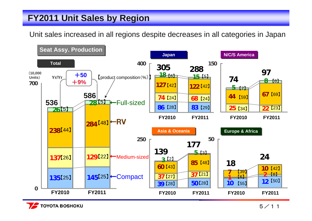## **FY2011 Unit Sales by Region FY2011 Unit Sales by Region**

Unit sales increased in all regions despite decreases in all categories in Japan



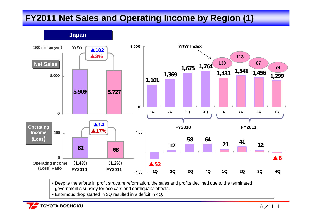## **FY2011 Net Sales and Operating Income by Region (1) FY2011 Net Sales and Operating Income by Region (1)**



• Despite the efforts in profit structure reformation, the sales and profits declined due to the terminated government's subsidy for eco cars and earthquake effects.

• Enormous drop started in 3Q resulted in a deficit in 4Q.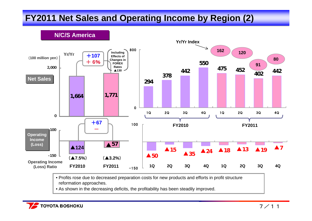## **FY2011 Net Sales and Operating Income by Region (2) FY2011 Net Sales and Operating Income by Region (2)**

**FY2010 FY2011**+**107**+**6** %+**67 N/C/S America N/C/S America**(▲**7.5%**) (▲**3.2%**) **Operating Income (Loss) Ratio 294378442550452 402 <sup>442</sup> <sup>475</sup>** 08001Q 2Q 3Q 4Q 1Q 2Q 3Q 4Q ▲**50**▲**7**▲15  $15 \quad \bullet \quad 24 \quad \bullet \quad 18$ ▲**35**▲**13**▲**19** $-150$ 100 **FY2010 FY2011Yr/Yr Index 162 12091801Q 2Q 3Q 4Q 1Q 2Q 3Q 4QYr/Yr**▲**57 -150100**▲**1241,664 1,771 02,000** (**100 million yen**) **Net Sales Operating Operating Income Income (Loss) (Loss) Including Effects of Changes in FOREX Rates**▲**130**

> • Profits rose due to decreased preparation costs for new products and efforts in profit structure reformation approaches.

• As shown in the decreasing deficits, the profitability has been steadily improved.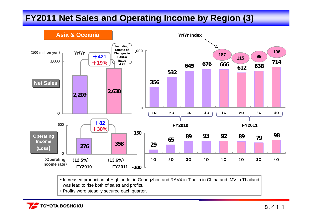## **FY2011 Net Sales and Operating Income by Region (3) FY2011 Net Sales and Operating Income by Region (3)**



- Increased production of Highlander in Guangzhou and RAV4 in Tianjin in China and IMV in Thailand was lead to rise both of sales and profits.
- Profits were steadily secured each quarter.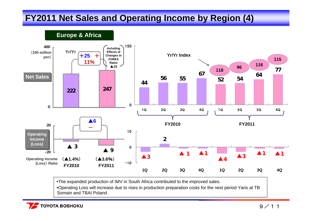## **FY2011 Net Sales and Operating Income by Region (4) FY2011 Net Sales and Operating Income by Region (4)**

**222 <sup>247</sup> 0400**▲**6**  ▲ **9** ▲**<sup>3</sup> -2020 Yr/YrEurope & Africa Europe & Africa** +**25** +**11%Operating Income (Loss**) **Ratio FY2010 FY2011**(▲**1.4%**) (▲**3.6**%) **4456 556754 <sup>64</sup> 7752** $\Omega$ 1501Q 2Q 3Q 4Q 1Q 2Q 3Q 4Q ▲**32**▲**3**▲**1** ▲**1** ▲**4** ▲**3** ▲**1** ▲**1**  $-10$ 010**FY2010 FY2011Yr/Yr Index118 <sup>96</sup> <sup>116</sup> 1151Q 2Q 3Q 4Q 1Q 2Q 3Q 4Q**  (**100 million yen**) **Including Effects of Changes in FOREX Rates** ▲**15Net Sales Operating Operating Income Income (Loss) (Loss)**

•The expanded production of IMV in South Africa contributed to the improved sales.

•Operating Loss will increase due to rises in production preparation costs for the next period Yaris at TB Somain and TBAI Poland .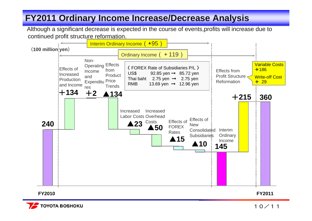## **FY2011 Ordinary Income Increase/Decrease Analysis FY2011 Ordinary Income Increase/Decrease Analysis**

Although a significant decrease is expected in the course of events,profits will increase due to continued profit structure reformation.



**TOYOTA BOSHOKU**